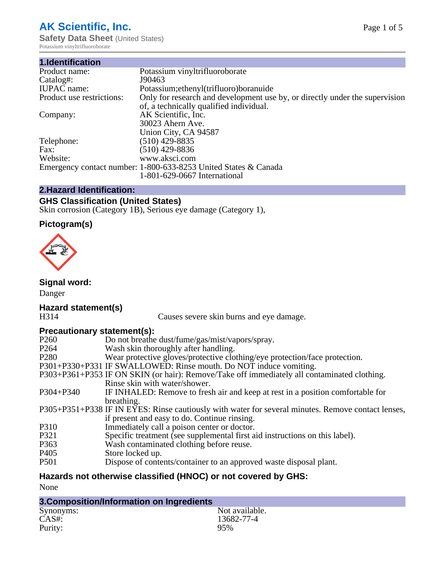# **AK Scientific, Inc.**

**Safety Data Sheet (United States)** Potassium vinyltrifluoroborate

| 1.Identification          |                                                                             |
|---------------------------|-----------------------------------------------------------------------------|
| Product name:             | Potassium vinyltrifluoroborate                                              |
| Catalog#:                 | J90463                                                                      |
| <b>IUPAC</b> name:        | Potassium; ethenyl (trifluoro) boranuide                                    |
| Product use restrictions: | Only for research and development use by, or directly under the supervision |
|                           | of, a technically qualified individual.                                     |
| Company:                  | AK Scientific, Inc.                                                         |
|                           | 30023 Ahern Ave.                                                            |
|                           | Union City, CA 94587                                                        |
| Telephone:                | $(510)$ 429-8835                                                            |
| Fax:                      | $(510)$ 429-8836                                                            |
| Website:                  | www.aksci.com                                                               |
|                           | Emergency contact number: 1-800-633-8253 United States & Canada             |
|                           | 1-801-629-0667 International                                                |

# **2.Hazard Identification:**

# **GHS Classification (United States)**

Skin corrosion (Category 1B), Serious eye damage (Category 1),

## **Pictogram(s)**



### **Signal word:**

Danger

# **Hazard statement(s)**

Causes severe skin burns and eye damage.

### **Precautionary statement(s):**

| $\ldots$         |                                                                                                    |
|------------------|----------------------------------------------------------------------------------------------------|
| P <sub>260</sub> | Do not breathe dust/fume/gas/mist/vapors/spray.                                                    |
| P <sub>264</sub> | Wash skin thoroughly after handling.                                                               |
| P <sub>280</sub> | Wear protective gloves/protective clothing/eye protection/face protection.                         |
|                  | P301+P330+P331 IF SWALLOWED: Rinse mouth. Do NOT induce vomiting.                                  |
|                  | P303+P361+P353 IF ON SKIN (or hair): Remove/Take off immediately all contaminated clothing.        |
|                  | Rinse skin with water/shower.                                                                      |
| $P304 + P340$    | IF INHALED: Remove to fresh air and keep at rest in a position comfortable for                     |
|                  | breathing.                                                                                         |
|                  | P305+P351+P338 IF IN EYES: Rinse cautiously with water for several minutes. Remove contact lenses, |
|                  | if present and easy to do. Continue rinsing.                                                       |
| P310             | Immediately call a poison center or doctor.                                                        |
| P321             | Specific treatment (see supplemental first aid instructions on this label).                        |
| P <sub>363</sub> | Wash contaminated clothing before reuse.                                                           |
| P <sub>405</sub> | Store locked up.                                                                                   |
| <b>P501</b>      | Dispose of contents/container to an approved waste disposal plant.                                 |
|                  |                                                                                                    |

# **Hazards not otherwise classified (HNOC) or not covered by GHS:**

None

| 3. Composition/Information on Ingredients |                |
|-------------------------------------------|----------------|
| Synonyms:                                 | Not available. |
| CAS#:                                     | 13682-77-4     |
| Purity:                                   | 95%            |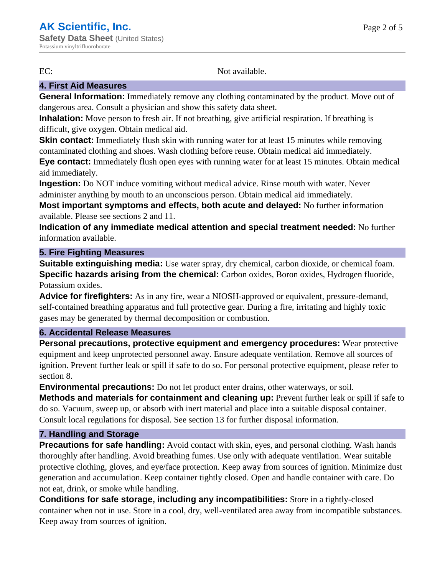EC: Not available.

## **4. First Aid Measures**

**General Information:** Immediately remove any clothing contaminated by the product. Move out of dangerous area. Consult a physician and show this safety data sheet.

**Inhalation:** Move person to fresh air. If not breathing, give artificial respiration. If breathing is difficult, give oxygen. Obtain medical aid.

**Skin contact:** Immediately flush skin with running water for at least 15 minutes while removing contaminated clothing and shoes. Wash clothing before reuse. Obtain medical aid immediately.

**Eye contact:** Immediately flush open eyes with running water for at least 15 minutes. Obtain medical aid immediately.

**Ingestion:** Do NOT induce vomiting without medical advice. Rinse mouth with water. Never administer anything by mouth to an unconscious person. Obtain medical aid immediately.

**Most important symptoms and effects, both acute and delayed:** No further information available. Please see sections 2 and 11.

**Indication of any immediate medical attention and special treatment needed:** No further information available.

### **5. Fire Fighting Measures**

**Suitable extinguishing media:** Use water spray, dry chemical, carbon dioxide, or chemical foam. **Specific hazards arising from the chemical:** Carbon oxides, Boron oxides, Hydrogen fluoride, Potassium oxides.

**Advice for firefighters:** As in any fire, wear a NIOSH-approved or equivalent, pressure-demand, self-contained breathing apparatus and full protective gear. During a fire, irritating and highly toxic gases may be generated by thermal decomposition or combustion.

### **6. Accidental Release Measures**

**Personal precautions, protective equipment and emergency procedures:** Wear protective equipment and keep unprotected personnel away. Ensure adequate ventilation. Remove all sources of ignition. Prevent further leak or spill if safe to do so. For personal protective equipment, please refer to section 8.

**Environmental precautions:** Do not let product enter drains, other waterways, or soil.

**Methods and materials for containment and cleaning up:** Prevent further leak or spill if safe to do so. Vacuum, sweep up, or absorb with inert material and place into a suitable disposal container. Consult local regulations for disposal. See section 13 for further disposal information.

#### **7. Handling and Storage**

**Precautions for safe handling:** Avoid contact with skin, eyes, and personal clothing. Wash hands thoroughly after handling. Avoid breathing fumes. Use only with adequate ventilation. Wear suitable protective clothing, gloves, and eye/face protection. Keep away from sources of ignition. Minimize dust generation and accumulation. Keep container tightly closed. Open and handle container with care. Do not eat, drink, or smoke while handling.

**Conditions for safe storage, including any incompatibilities:** Store in a tightly-closed container when not in use. Store in a cool, dry, well-ventilated area away from incompatible substances. Keep away from sources of ignition.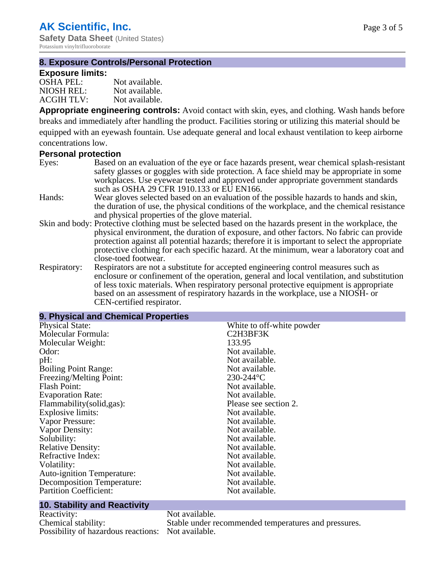**Safety Data Sheet** (United States) Potassium vinyltrifluoroborate

#### **8. Exposure Controls/Personal Protection**

#### **Exposure limits:**

| $OSHA$ PEL:       | Not available. |
|-------------------|----------------|
| NIOSH REL:        | Not available. |
| <b>ACGIH TLV:</b> | Not available. |

**Appropriate engineering controls:** Avoid contact with skin, eyes, and clothing. Wash hands before breaks and immediately after handling the product. Facilities storing or utilizing this material should be equipped with an eyewash fountain. Use adequate general and local exhaust ventilation to keep airborne concentrations low.

#### **Personal protection**

- Eyes: Based on an evaluation of the eye or face hazards present, wear chemical splash-resistant safety glasses or goggles with side protection. A face shield may be appropriate in some workplaces. Use eyewear tested and approved under appropriate government standards such as OSHA 29 CFR 1910.133 or EU EN166.
- Hands: Wear gloves selected based on an evaluation of the possible hazards to hands and skin, the duration of use, the physical conditions of the workplace, and the chemical resistance and physical properties of the glove material.
- Skin and body: Protective clothing must be selected based on the hazards present in the workplace, the physical environment, the duration of exposure, and other factors. No fabric can provide protection against all potential hazards; therefore it is important to select the appropriate protective clothing for each specific hazard. At the minimum, wear a laboratory coat and close-toed footwear.
- Respiratory: Respirators are not a substitute for accepted engineering control measures such as enclosure or confinement of the operation, general and local ventilation, and substitution of less toxic materials. When respiratory personal protective equipment is appropriate based on an assessment of respiratory hazards in the workplace, use a NIOSH- or CEN-certified respirator.

### **9. Physical and Chemical Properties**

| <b>Physical State:</b>            | White to off-white powder |
|-----------------------------------|---------------------------|
| Molecular Formula:                | C2H3BF3K                  |
| Molecular Weight:                 | 133.95                    |
| Odor:                             | Not available.            |
| pH:                               | Not available.            |
| <b>Boiling Point Range:</b>       | Not available.            |
| Freezing/Melting Point:           | $230 - 244$ °C            |
| <b>Flash Point:</b>               | Not available.            |
| <b>Evaporation Rate:</b>          | Not available.            |
| Flammability (solid, gas):        | Please see section 2.     |
| Explosive limits:                 | Not available.            |
| Vapor Pressure:                   | Not available.            |
| Vapor Density:                    | Not available.            |
| Solubility:                       | Not available.            |
| <b>Relative Density:</b>          | Not available.            |
| Refractive Index:                 | Not available.            |
| Volatility:                       | Not available.            |
| <b>Auto-ignition Temperature:</b> | Not available.            |
| <b>Decomposition Temperature:</b> | Not available.            |
| <b>Partition Coefficient:</b>     | Not available.            |
|                                   |                           |

#### **10. Stability and Reactivity**

Reactivity: Not available.<br>
Chemical stability: Stable under re Possibility of hazardous reactions: Not available.

Stable under recommended temperatures and pressures.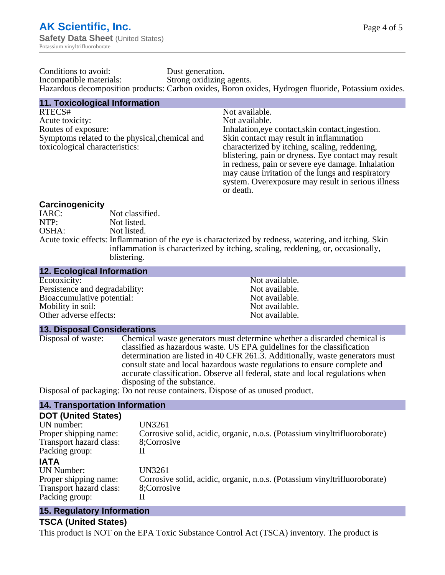| Conditions to avoid:    | Dust generation.                                                                                    |
|-------------------------|-----------------------------------------------------------------------------------------------------|
| Incompatible materials: | Strong oxidizing agents.                                                                            |
|                         | Hazardous decomposition products: Carbon oxides, Boron oxides, Hydrogen fluoride, Potassium oxides. |

| <b>11. Toxicological Information</b>           |                                                     |
|------------------------------------------------|-----------------------------------------------------|
| RTECS#                                         | Not available.                                      |
| Acute toxicity:                                | Not available.                                      |
| Routes of exposure:                            | Inhalation, eye contact, skin contact, ingestion.   |
| Symptoms related to the physical, chemical and | Skin contact may result in inflammation             |
| toxicological characteristics:                 | characterized by itching, scaling, reddening,       |
|                                                | blistering, pain or dryness. Eye contact may result |
|                                                | in redness, pain or severe eye damage. Inhalation   |
|                                                | may cause irritation of the lungs and respiratory   |
|                                                | system. Overexposure may result in serious illness  |
|                                                | or death.                                           |

#### **Carcinogenicity**

| Not classified.                                                                                       |
|-------------------------------------------------------------------------------------------------------|
| Not listed.                                                                                           |
| Not listed.                                                                                           |
| Acute toxic effects: Inflammation of the eye is characterized by redness, watering, and itching. Skin |
| inflammation is characterized by itching, scaling, reddening, or, occasionally,                       |
| blistering.                                                                                           |
|                                                                                                       |

| <b>12. Ecological Information</b> |                |
|-----------------------------------|----------------|
| Ecotoxicity:                      | Not available. |
| Persistence and degradability:    | Not available. |
| Bioaccumulative potential:        | Not available. |
| Mobility in soil:                 | Not available. |
| Other adverse effects:            | Not available. |

#### **13. Disposal Considerations**

Disposal of waste: Chemical waste generators must determine whether a discarded chemical is classified as hazardous waste. US EPA guidelines for the classification determination are listed in 40 CFR 261.3. Additionally, waste generators must consult state and local hazardous waste regulations to ensure complete and accurate classification. Observe all federal, state and local regulations when disposing of the substance.

Disposal of packaging: Do not reuse containers. Dispose of as unused product.

#### **14. Transportation Information**

#### **DOT (United States)**

| UN number:<br>Proper shipping name: | <b>UN3261</b><br>Corrosive solid, acidic, organic, n.o.s. (Potassium vinyltrifluoroborate) |
|-------------------------------------|--------------------------------------------------------------------------------------------|
| Transport hazard class:             | 8;Corrosive                                                                                |
| Packing group:                      |                                                                                            |
| <b>IATA</b>                         |                                                                                            |
| UN Number:                          | <b>UN3261</b>                                                                              |
| Proper shipping name:               | Corrosive solid, acidic, organic, n.o.s. (Potassium vinyltrifluoroborate)                  |
| Transport hazard class:             | 8;Corrosive                                                                                |
| Packing group:                      |                                                                                            |
|                                     |                                                                                            |

### **15. Regulatory Information**

#### **TSCA (United States)**

This product is NOT on the EPA Toxic Substance Control Act (TSCA) inventory. The product is